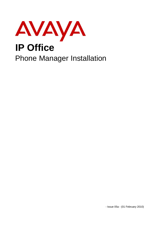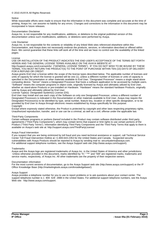#### © 2010 AVAYA All Rights Reserved.

#### Notice

While reasonable efforts were made to ensure that the information in this document was complete and accurate at the time of printing, Avaya Inc. can assume no liability for any errors. Changes and corrections to the information in this document may be incorporated in future releases.

#### Documentation Disclaimer

Avaya Inc. is not responsible for any modifications, additions, or deletions to the original published version of this documentation unless such modifications, additions, or deletions were performed by Avaya.

#### Link Disclaimer

Avaya Inc. is not responsible for the contents or reliability of any linked Web sites referenced elsewhere within this Documentation, and Avaya does not necessarily endorse the products, services, or information described or offered within them. We cannot guarantee that these links will work all of the time and we have no control over the availability of the linked pages.

#### License

USE OR INSTALLATION OF THE PRODUCT INDICATES THE END USER'S ACCEPTANCE OF THE TERMS SET FORTH HEREIN AND THE GENERAL LICENSE TERMS AVAILABLE ON THE AVAYA WEBSITE AT http://support.avaya.com/LicenseInfo/ ("GENERAL LICENSE TERMS"). IF YOU DO NOT WISH TO BE BOUND BY THESE TERMS, YOU MUST RETURN THE PRODUCT(S) TO THE POINT OF PURCHASE WITHIN TEN (10) DAYS OF DELIVERY FOR A REFUND OR CREDIT.

Avaya grants End User a license within the scope of the license types described below. The applicable number of licenses and units of capacity for which the license is granted will be one (1), unless a different number of licenses or units of capacity is specified in the Documentation or other materials available to End User. "Designated Processor" means a single stand-alone computing device. "Server" means a Designated Processor that hosts a software application to be accessed by multiple users. "Software" means the computer programs in object code, originally licensed by Avaya and ultimately utilized by End User, whether as stand-alone Products or pre-installed on Hardware. "Hardware" means the standard hardware Products, originally sold by Avaya and ultimately utilized by End User.

License Type(s): Designated System(s) License (DS).

End User may install and use each copy of the Software on only one Designated Processor, unless a different number of Designated Processors is indicated in the Documentation or other materials available to End User. Avaya may require the Designated Processor(s) to be identified by type, serial number, feature key, location or other specific designation, or to be provided by End User to Avaya through electronic means established by Avaya specifically for this purpose. Copyright

Except where expressly stated otherwise, the Product is protected by copyright and other laws respecting proprietary rights. Unauthorized reproduction, transfer, and or use can be a criminal, as well as a civil, offense under the applicable law.

#### Third-Party Components

Certain software programs or portions thereof included in the Product may contain software distributed under third party agreements ("Third Party Components"), which may contain terms that expand or limit rights to use certain portions of the Product ("Third Party Terms"). Information identifying Third Party Components and the Third Party Terms that apply to them is available on Avaya's web site at: http://support.avaya.com/ThirdPartyLicense/

#### Avaya Fraud Intervention

If you suspect that you are being victimized by toll fraud and you need technical assistance or support, call Technical Service Center Toll Fraud Intervention Hotline at +1-800-643-2353 for the United States and Canada. Suspected security vulnerabilities with Avaya Products should be reported to Avaya by sending mail to: securityalerts@avaya.com. For additional support telephone numbers, see the Avaya Support web site (http://www.avaya.com/support).

#### **Trademarks**

Avaya and the Avaya logo are registered trademarks of Avaya Inc. in the United States of America and other jurisdictions. Unless otherwise provided in this document, marks identified by "®," "™" and "SM" are registered marks, trademarks and service marks, respectively, of Avaya Inc. All other trademarks are the property of their respective owners.

#### Documentation information

For the most current versions of documentation, go to the Avaya Support web site (http://www.avaya.com/support) or the IP Office Knowledge Base (http://marketingtools.avaya.com/knowledgebase/).

#### Avaya Support

Avaya provides a telephone number for you to use to report problems or to ask questions about your contact center. The support telephone number is 1 800 628 2888 in the United States. For additional support telephone numbers, see the Avaya Web site: http://www.avaya.com/support.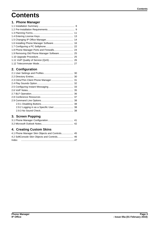## **Contents**

#### 1. Phone Manager

| 1.9 Removing Old Phone Manager Software 25 |  |
|--------------------------------------------|--|
|                                            |  |
|                                            |  |
|                                            |  |
|                                            |  |

## 2. Configuration

## 3. Screen Popping

### 4. Creating Custom Skins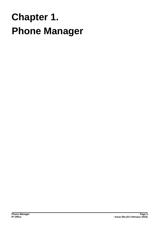# **Phone Manager Chapter 1.**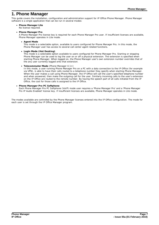## **1. Phone Manager**

This guide covers the installation, configuration and administration support for IP Office Phone Manager. Phone Manager software is a single application that can be run in several modes:

- · **Phone Manager Lite** No license required.
- · **Phone Manager Pro**

A Phone Manager Pro license key is required for each Phone Manager Pro user. If insufficient licenses are available, Phone Manager operates in Lite mode.

· **Agent Mode**

This mode is a selectable option, available to users configured for Phone Manager Pro. In this mode, the Phone Manager user has access to several call center agent related functions.

· **Login Mode (Hot Desking)**

This mode is a selectable option available to users configured for Phone Manager Pro. Starting or stopping Phone Manager can be used to log the user on or off a physical extension. The extension is specified when starting Phone Manager. When logged on, the Phone Manager user's own extension number overrides that of the any user currently logged onto that extension.

· **Telecommuter Mode** *(Phone Manager 4.1+)*

In this mode, a user running Phone Manager Pro on a PC with a data connection to the IP Office (for example via VPN), is able to have their calls routed to a telephone number they specify when starting Phone Manager. When the user makes a call using Phone Manager, the IP Office will call the user's specified telephone number and when answered, then make the outgoing call for the user. Similarly incoming calls to the user's extension on the IP Office are routed to the remote number. By having the speech part of all calls initiated from the IP Office, the cost for those calls is assigned to the IP Office.

· **Phone Manager Pro PC Softphone**

Each Phone Manager Pro PC Softphone (VoIP) mode user requires a 'Phone Manager Pro' and a 'Phone Manager Pro IP Audio Enabled' license key. If insufficient licenses are available, Phone Manager operates in Lite mode.

The modes available are controlled by the Phone Manager licenses entered into the IP Office configuration. The mode for each user is set through the IP Office Manager program.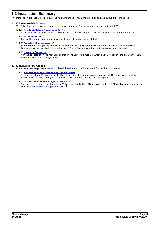## **1.1 Installation Summary**

The installation process is divided into the following steps. These should be performed in the order indicated.

- **1. ¨ System-Wide Actions** The following steps should be completed before installing Phone Manager on any individual PC.
	- **1.1.¨ Pre-Installation Requirements** 9 Check that the pre-installation requirements for material required and PC specifications have been meet.
	- **1.2.¨ Planning forms** 11 Ensure the planning forms or a similar document has been completed.
	- **1.3.¨ Entering License Keys** 13 If any Phone Manager Pro and or Phone Manager PC Softphone users are being installed, the appropriate licenses must be installed (along with the IP Office Feature Key dongle if necessary) and checked.
	- **1.4.¨ User Configuration** 14 Various aspects of Phone Manager operation including the mode in which Phone Manager runs are set through the IP Office system configuration.

#### **2. ¨ Individual PC Actions**

Once the above steps have been completed, installation onto individual PC's can be commenced.

- 2.1.**□ <u>Remove previous versions of the software</u> 25 ੈ** Versions of Phone Manager prior to Phone Manager 3.2 do not support upgrading. These versions must be removed before proceeding with the installation of Phone Manager 3.2 or higher.
- **2.2.¨ Install the Phone Manager software** 16 The process assumes that the user's PC is connected to the LAN and can see the IP Office. For more information, see <u>Installing Phone Manager Software</u>| 16<del>`</del>).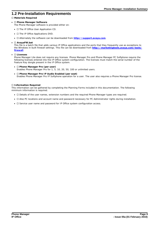## **1.2 Pre-Installation Requirements**

**¨ Materials Required**

- · **¨ Phone Manager Software** The Phone Manager software is provided either on:
	- · **¨** The IP Office User Application CD.
	- · **¨** The IP Office Applications DVD.
	- · **¨** Alternately the software can be downloaded from **http://support.avaya.com**.
- · **¨ AvayaFW.bat**

This file is a batch file that adds various IP Office applications and the ports that they frequently use as exceptions to the Windows in-built firewall settings. This file can be downloaded from **http://marketingtools.avaya.com/tools/ firewall**.

· **¨ Licenses**

Phone Manager Lite does not require any licenses. Phone Manager Pro and Phone Manager PC Softphone require the following licenses entered into the IP Office system configuration. The licenses must match the serial number of the Feature Key dongle present in the IP Office system.

- · **¨ Phone Manager Pro (per user)** Enables Phone Manager Pro for 1, 5, 10, 20, 50, 100 or unlimited users.
- · **¨ Phone Manager Pro IP Audio Enabled (per seat)** Enables Phone Manager Pro IP Softphone operation for a user. The user also requires a Phone Manager Pro license.

#### **¨ Information Required**

This information can be gathered by completing the Planning Forms included in this documentation. The following minimum information is required.

- · **¨** Details of the user names, extension numbers and the required Phone Manager types are required.
- · **¨** Also PC locations and account name and password necessary for PC Administrator rights during installation.
- · **¨** Service user name and password for IP Office system configuration access.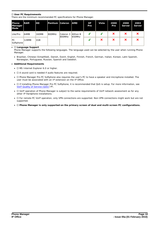#### **¨ User PC Requirements**

There are the minimum recommended PC specifications for Phone Manager.

| Phone<br>Manager<br>Mode | <b>RAM</b> | <b>HD</b> | Pentium Celeron |                              | <b>JAMD</b> | <b>XP</b><br>Pro | Vista | 2000<br>Pro | 2000<br>Server | 2003<br>Server |
|--------------------------|------------|-----------|-----------------|------------------------------|-------------|------------------|-------|-------------|----------------|----------------|
| Lite/Pro                 | 64MB       | 160MB     | 800MHz          | Celeron 3 Althon B<br>800MHz | 650Mhz      | J                |       | ×           | ×              | ×              |
| PC<br>Softphone          | 128MB      | 1GB       |                 |                              |             | J                | ×     | ×           | ×              | ×              |

#### · **¨ Language Support**

Phone Manager supports the following languages. The language used can be selected by the user when running Phone Manager.

- · Brazilian, Chinese (Simplified), Danish, Dutch, English, Finnish, French, German, Italian, Korean, Latin Spanish, Norwegian, Portuguese, Russian, Spanish and Swedish.
- · **Additional Requirements**
	- · **¨** MS Internet Explorer 6.0 or higher.
	- · **¨** A sound card is needed if audio features are required.
	- · **¨** Phone Manager Pro PC Softphone also requires the user's PC to have a speaker and microphone installed. The user must be associated with an IP extension on the IP Office.
	- · **¨** If installing Phone Manager Pro PC Softphone, it is recommended that QoS is setup. For more information, see VoIP Quality of Service (QoS) 264.
	- · **¨** VoIP operation of Phone Manager is subject to the same requirements of VoIP network assessment as for any other IP Hardphone installations.
	- · **¨** For remote PC VoIP operation, only VPN connections are supported. Non-VPN connections might work but are not supported.
	- · **¨ Phone Manager is only supported on the primary screen of dual and multi-screen PC configurations.**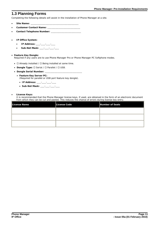## **1.3 Planning Forms**

Completing the following details will assist in the installation of Phone Manager at a site.

- Site Name:
- Customer Contact Name: \_\_\_
- · **Contact Telephone Number:** \_\_\_\_\_\_\_\_\_\_\_\_\_\_\_\_\_\_\_\_\_\_
- · **IP Office System:**
	- **IP Address:** \_\_\_: \_\_\_: \_\_\_: \_\_\_
	- Sub-Net Mask: <u>\_\_\_: \_\_\_: \_\_\_</u>: \_\_\_
- · **Feature Key Dongle:**

Required if any users are to use Phone Manager Pro or Phone Manager PC Softphone modes.

- $\Box$  Already installed /  $\Box$  Being installed at same time.
- Dongle Type: □ Serial / □ Parallel / □ USB.
- Dongle Serial Number:
	- · **Feature Key Server PC:** (Required for parallel or USB port feature key dongle).
		- **IP Address:** \_\_\_: \_\_\_: \_\_\_: \_\_\_
		- Sub-Net Mask: \_\_\_: \_\_\_: \_\_\_:
- · **License Keys:**
	- It is recommended that the Phone Manager license keys, if used, are obtained in the form of an electronic document from which they can be cut and pasted. This reduces the chance of errors during license key entry.

| License Name | License Code | Number of Seats |
|--------------|--------------|-----------------|
|              |              |                 |
|              |              |                 |
|              |              |                 |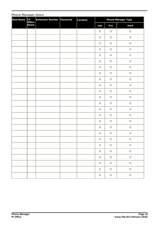| <b>Phone Manager Users</b> |              |                           |  |          |                    |                 |              |
|----------------------------|--------------|---------------------------|--|----------|--------------------|-----------------|--------------|
| Real Name                  | IP<br>Office | Extension Number Password |  | Location | Phone Manager Type |                 |              |
|                            | Name         |                           |  |          | Lite               | Pro             | <b>Vol P</b> |
|                            |              |                           |  |          | $\Box$             | $\Box$          | $\Box$       |
|                            |              |                           |  |          | $\Box$             | $\Box$          | $\Box$       |
|                            |              |                           |  |          | $\Box$             | $\Box$          | $\Box$       |
|                            |              |                           |  |          | $\Box$             | $\Box$          | $\Box$       |
|                            |              |                           |  |          | $\Box$             | $\Box$          | $\Box$       |
|                            |              |                           |  |          | $\Box$             | $\Box$          | $\Box$       |
|                            |              |                           |  |          | $\Box$             | $\Box$          | $\square$    |
|                            |              |                           |  |          | $\Box$             | $\Box$          | $\Box$       |
|                            |              |                           |  |          | $\Box$             | $\Box$          | $\Box$       |
|                            |              |                           |  |          | $\Box$             | $\Box$          | $\Box$       |
|                            |              |                           |  |          | $\Box$             | $\Box$          | $\Box$       |
|                            |              |                           |  |          | $\Box$             | $\Box$          | $\Box$       |
|                            |              |                           |  |          | $\Box$             | $\Box$          | $\Box$       |
|                            |              |                           |  |          | $\Box$             | $\Box$          | $\Box$       |
|                            |              |                           |  |          | $\Box$             | $\Box$          | $\Box$       |
|                            |              |                           |  |          | $\Box$             | $\Box$          | $\Box$       |
|                            |              |                           |  |          | $\Box$             | $\Box$          | $\Box$       |
|                            |              |                           |  |          | $\Box$             | $\Box$          | $\Box$       |
|                            |              |                           |  |          | $\Box$             | $\Box$          | $\Box$       |
|                            |              |                           |  |          | $\Box$             | $\Box$          | $\Box$       |
|                            |              |                           |  |          | $\Box$             | $\Box$          | $\Box$       |
|                            |              |                           |  |          | $\Box$             | $\hfill\square$ | $\Box$       |
|                            |              |                           |  |          | $\Box$             | $\Box$          | $\Box$       |
|                            |              |                           |  |          | $\Box$             | $\Box$          | $\Box$       |
|                            |              |                           |  |          | $\Box$             | $\Box$          | $\Box$       |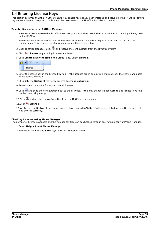## **1.4 Entering License Keys**

This section assumes that the IP Office feature Key dongle has already been installed and setup plus the IP Office Feature Key server software if required. If this is not the case, refer to the IP Office Installation manual.

**To enter license keys in IP Office Manager:**

- 1.Make sure that you have the list of licenses ready and that they match the serial number of the dongle being used by the IP Office.
- 2.Preferably the licenses should be in an electronic document from which they can be cut and pasted into the configuration. This reduces the chances of errors in the license entry.
- 3. Open IP Office Manager. Click <sup>24</sup> and receive the configuration from the IP Office system.
- 4.Click **License**. Any existing licenses are listed.
- 5.Click **Create a New Record** in the Group Pane. Select **License**.

| License |  |  |
|---------|--|--|

- 6.Enter the license key in the license key field. If the licenses are in an electronic format copy the license and paste in the license key field.
- 7.Click **OK**. The **Status** of the newly entered license is *Unknown*.
- 8.Repeat the above steps for any additional licenses.
- 9. Click and send the configuration back to the IP Office. If the only changes made were to add license keys, this can be done using merge.
- 10.Click and receive the configuration from the IP Office system again.
- 11.Click **License**.
- 12.Verify that the **Status** of the license entered has changed to *Valid*. If a license is listed as *Invalid*, ensure that it was entered correctly.

**Checking Licenses using Phone Manager** 

The number of licenses available and the number still free can be checked through any running copy of Phone Manager.

- 1.Select **Help > About Phone Manager**.
- 2.Hold down the **Ctrl** and **Shift** keys. A list of licenses is shown.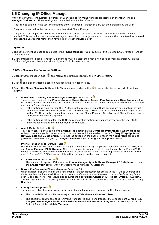## **1.5 Changing IP Office Manager**

Within the IP Office configuration, a number of user settings for Phone Manager are located on the **User | Phone Manager Options** tab. These settings can be applied in a number of ways.

- · They can be applied to the user the first time they start Phone Manager on a PC but then changed by the user.
- · They can be applied to the user every time they start Phone Manager.
- · They can be set as part of a set of User Rights which are then associated with the users to which they should be applied. This method allows the same settings to be applied to a large number of users and then be altered as required through the User Rights rather than having to alter each individual user.

#### **Important**

- 1.The key setting that must be completed is the **Phone Manager Type**. By default this is set to *Lite* for Phone Manager Lite operation.
- 2.User's intended for Phone Manager PC Softphone must be associated with a non-physical VoIP extension within the IP Office configuration, that is not with a physical VoIP phone extension.
- **IP Office Manager Configuration Settings**
- 1. Open IP Office Manager. Click <sup>21</sup> and receive the configuration from the IP Office system.
- 2. Click **and click the user's extension number in the Navigation Pane.**
- 3.Select the **Phone Manager Options** tab. Those options marked with a icon can also be set as part of the **User Rights**.
	- · **Allow user to modify Phone Manager settings:** *Default = On* This setting is used with the **Phone Manager Status Options**, **Screen Pop Options** and **Hide Options** below. It controls whether those options are applied every time the user starts Phone Manager or only the first time the user starts Phone Manager.
		- If this setting is enabled, then the IP Office configuration setting of those options are only applied the first time a user starts Phone Manager on a PC. Those settings become part of the user's Phone Manager profile on that PC. They can be changed by the user through Phone Manager. On subsequent Phone Manager starts the Manager settings are ignored.
		- · If this setting is not enabled, the IP Office configuration settings are applied every time the user starts Phone Manager and cannot be overridden by the user.
	- · **Agent Mode:** *Default = Off*

This option controls the setting of the **Agent Mode** option on the **Configure Preferences | Agent Mode** tab within Phone Manager Pro. When enabled, the user has additional toolbar controls for **Busy Wrap Up**, **Busy Not Available** and **Select Group**. Note that the options on the Phone Manager Pro **Agent Mode** tab can be greyed out from user changes by the **Agent Mode** setting in **Configuration Options** below.

- · **Phone Manager Type:** *Default = Lite* Determines the mode in which the user's copy of the Phone Manager application operates. Modes are **Lite**, **Pro** and **Phone Manager PC Softphone**. Note that the number of users able to simultaneously use Pro and VoIP modes is controlled by licenses entered into the IP Office configuration. This setting cannot be changed by the user. \* For pre-3.2 IP Office systems this setting is located on the **User | User** tab.
	- · **VoIP Mode:** *Default = On* This option only appears if the selected **Phone Manager Type** is *Phone Manager PC Softphone*. It sets the **Enable VoIP** control within the user's Phone Manager PC Softphone.
- · **Book a Conference in Phone Manager:** *Default = Off* When enabled, displays links in the user's Phone Manager application for access to the IP Office Conferencing Center application if installed. Note that to book a conference requires the user to have a Conferencing Center user ID and password. This feature also requires the **Conference Center URL** to be set (**System | System**). This setting cannot be changed by the user. \* For pre-3.2 IP Office systems this setting is located on the **User | User** tab.
- · **Configuration Options**  These options allow the user access to the indicated configure preferences tabs within Phone Manager.
	- · The controllable tabs for Phone Manager Lite are **Telephone** and **Do Not Disturb**.
	- · The additional controllable tabs for Phone Manager Pro and Phone Manager PC Softphone are **Screen Pop**, **Compact Mode**, **Agent Mode**, **Voicemail** (**Voicemail** and **Voicemail Ringback** controls only) and in IP Office 4.0 and higher **Mobile Twinning**.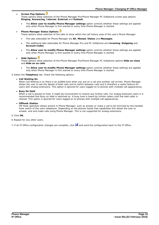- **Screen Pop Options** These options allow selection of the Phone Manager Pro/Phone Manager PC Softphone screen pop options **Ringing**, **Answering**, **Internal**, **External** and **Outlook**.
	- · The **Allow user to modify Phone Manager settings** option controls whether these settings are applied only when Phone Manager is first started or every time Phone Manager is started.
- **Phone Manager Status Options** These options allow selection of the tabs to show within the call history area of the user's Phone Manager.
	- · The tabs selectable for Phone Manager are **All**, **Missed**, **Status** and **Messages**.
	- · The additional tabs selectable for Phone Manager Pro and PC Softphone are **Incoming**, **Outgoing** and **Account Codes**.
	- · The **Allow user to modify Phone Manager settings** option controls whether these settings are applied only when Phone Manager is first started or every time Phone Manager is started.
- · **Hide Options**

These options allow selection of the Phone Manager Pro/Phone Manager PC Softphone options **Hide on close** and **Hide on no calls**.

· The **Allow user to modify Phone Manager settings** option controls whether these settings are applied only when Phone Manager is first started or every time Phone Manager is started.

4.Select the **Telephony** tab. Check the following options:

· **Call Waiting On**.

When Call Waiting is on there is an audible tone when you are on a call and another call arrives. Phone Manager allows the user to see the details of both calls and to switch between calls and is therefore a useful feature for users with analog extensions. This option is ignored for users logged on to phones with multiple call appearances.

· **Busy On Held**

When a call is placed on hold, it might be inconvenient to receive any further calls. For analog extension users it is recommended that Busy on Held is switched on. A busy tone is heard by further callers until the held caller is cleared. This option is ignored for users logged on to phones with multiple call appearances.

· **Offhook Station**.

Off Hook operation allows actions in Phone Manager, such as answer or make a call to be mirrored by the handset hook switch of the users telephone. Depending on the phones hands free capabilities this allows the user to answer, end and make calls using Phone Manager. This is not supported for analog extensions.

5.Click **OK**.

6.Repeat for any other users.

7. If all IP Office configuration changes are complete, click  $\frac{1}{2}$  and send the configuration back to the IP Office.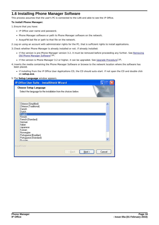## **1.6 Installing Phone Manager Software**

This process assumes that the user's PC is connected to the LAN and able to see the IP Office.

**To install Phone Manager:**

1.Ensure that you have:

- · IP Office user name and password.
- · Phone Manager software or path to Phone Manager software on the network.
- · AvayaFW.bat file or path to that file on the network.
- 2.Log on using an account with administrator rights for the PC, that is sufficient rights to install applications.

3.Check whether Phone Manager is already installed or not. If already installed:

- If the version is pre-Phone Manager version 3.2, it must be removed before proceeding any further. See Removing Old Phone Manager Software 25ी.
- If the version is Phone Manager 3.2 or higher, it can be upgraded. See <u>Upgrade Procedure</u>  $25^{\circ}$ .
- 4. Inserts the media containing the Phone Manager Software or browse to the network location where the software has been placed.
	- · If installing from the IP Office User Applications CD, the CD should auto-start. If not open the CD and double click on **setup.exe**.
- 5.The **Setup Language** window appears.

| IP Office User Suite - InstallShield Wizard                                                                                                                                                                                                               |        |
|-----------------------------------------------------------------------------------------------------------------------------------------------------------------------------------------------------------------------------------------------------------|--------|
| Choose Setup Language<br>Select the language for the installation from the choices below.                                                                                                                                                                 |        |
| Chinese (Simplified)<br>Chinese (Traditional)<br>Danish<br>Dutch<br>English<br>Finnish<br>French (Standard)<br>German<br>Italian<br>Japanese<br>Korean<br>Norwegian<br>Portuguese (Brazilian)<br>Portuguese (Standard)<br><b>Bussian</b><br>InstallShield |        |
| Next ><br>$\leq$ Back                                                                                                                                                                                                                                     | Cancel |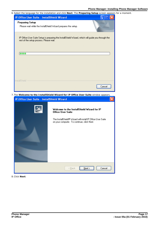|                                                                                                                                               | 6. Select the language for the installation and click Next. The Preparing Setup screen appears for a moment. |        |
|-----------------------------------------------------------------------------------------------------------------------------------------------|--------------------------------------------------------------------------------------------------------------|--------|
| IP Office User Suite - InstallShield Wizard                                                                                                   |                                                                                                              |        |
| <b>Preparing Setup</b><br>Please wait while the InstallShield Wizard prepares the setup.                                                      |                                                                                                              |        |
| IP Office User Suite Setup is preparing the InstallShield Wizard, which will guide you through the<br>rest of the setup process. Please wait. |                                                                                                              |        |
| <b>ETTE</b><br>InstallShield                                                                                                                  |                                                                                                              |        |
|                                                                                                                                               |                                                                                                              | Cancel |
|                                                                                                                                               | 7. The Welcome to the InstallShield Wizard for IP Office User Suite window appears.                          |        |
| IP Office User Suite - InstallShield Wizard                                                                                                   |                                                                                                              |        |
|                                                                                                                                               | Welcome to the InstallShield Wizard for IP<br><b>Office User Suite</b>                                       |        |
|                                                                                                                                               | The InstallShield® Wizard will install IP Office User Suite<br>on your computer. To continue, click Next.    |        |
|                                                                                                                                               | $\angle$ Back<br>$N$ ext >                                                                                   | Cancel |

8.Click **Next**.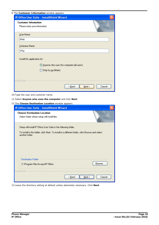|                                | 9. The Customer Information window appears. |                             |        |
|--------------------------------|---------------------------------------------|-----------------------------|--------|
|                                | IP Office User Suite - InstallShield Wizard |                             |        |
| <b>Customer Information</b>    |                                             |                             |        |
| Please enter your information. |                                             |                             |        |
| User Name:                     |                                             |                             |        |
| Mark                           |                                             |                             |        |
| Company Name:                  |                                             |                             |        |
| Why.                           |                                             |                             |        |
| Install this application for:  | Anyone who uses this computer (all users)   |                             |        |
|                                | O Only for me (Mark)                        |                             |        |
|                                |                                             |                             |        |
| InstallShield                  |                                             |                             |        |
|                                |                                             | $N$ ext ><br>< <u>B</u> ack | Cancel |

10.Type the user and customer name.

11.Select **Anyone who uses the computer** and click **Next**.

12.The **Choose Destination Location** window appears.

| IP Office User Suite - InstallShield Wizard                                                                                                                                             |        |
|-----------------------------------------------------------------------------------------------------------------------------------------------------------------------------------------|--------|
| <b>Choose Destination Location</b><br>Select folder where setup will install files.                                                                                                     |        |
| Setup will install IP Office User Suite in the following folder.<br>To install to this folder, click Next. To install to a different folder, click Browse and select<br>another folder. |        |
| <b>Destination Folder</b><br>Browse<br>C:\Program Files\Avaya\IP Office<br><b>InstallShield</b>                                                                                         |        |
| $\leq$ Back<br>Next                                                                                                                                                                     | Cancel |

13.Leave the directory setting at default unless absolutely necessary. Click **Next**.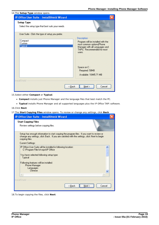| Description                                                                                                                                |
|--------------------------------------------------------------------------------------------------------------------------------------------|
| Program will be installed with the<br>most common options(Phone<br>Manager with all Languages and<br>TAPI). Recommended for most<br>users. |
| Space on C:<br>Required: 50MB<br>Available: 10445.71 MB                                                                                    |
|                                                                                                                                            |

15.Select either **Compact** or **Typical**.

- · **Compact** installs just Phone Manager and the language files that best match the PC.
- · **Typical** installs Phone Manager and all supported languages plus the IP Office TAPI software.
- 16.Click **Next**.

17.The **Start Copying Files** window opens. To review or change any settings, click **Back**.

| IP Office User Suite - InstallShield Wizard                                                                                                                                                                                      |
|----------------------------------------------------------------------------------------------------------------------------------------------------------------------------------------------------------------------------------|
| <b>Start Copying Files</b><br>Review settings before copying files.                                                                                                                                                              |
| Setup has enough information to start copying the program files. If you want to review or<br>change any settings, click Back. If you are satisfied with the settings, click Next to begin<br>copying files.<br>Current Settings: |
| IP Office User Suite will be installed in following location:<br>C:\Program Files\Avaya\IP Office<br>You have selected following setup type:<br>Typical<br>Following features will be installed:                                 |
| Phone Manager<br>Languages<br>Chinese<br>$\langle$<br>InstallShield                                                                                                                                                              |
| $\leq$ Back<br>Cancel<br>Next                                                                                                                                                                                                    |

18.To begin copying the files, click **Next**.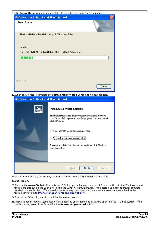| 19. The Setup Status window appears. The files may take a few minutes to install. |        |
|-----------------------------------------------------------------------------------|--------|
| IP Office User Suite - InstallShield Wizard                                       |        |
| <b>Setup Status</b>                                                               |        |
| The InstallShield Wizard is installing IP Office User Suite                       |        |
| Installing                                                                        |        |
| C:\\{5365DAF7-01E2-4746-B474-90B1D1E70A2B}\data1.cab                              |        |
|                                                                                   |        |
|                                                                                   |        |
|                                                                                   |        |
|                                                                                   |        |
|                                                                                   |        |
| InstallShield                                                                     |        |
|                                                                                   | Cancel |

20.When copy if files is complete the **InstallShield Wizard Complete** window appears.

| IP Office User Suite - InstallShield Wizard |                                                                                                                                                                                                                                                                                                                                                                     |
|---------------------------------------------|---------------------------------------------------------------------------------------------------------------------------------------------------------------------------------------------------------------------------------------------------------------------------------------------------------------------------------------------------------------------|
|                                             | InstallShield Wizard Complete<br>The InstallShield Wizard has successfully installed IP Office.<br>User Suite. Before you can use the program, you must restart<br>your computer.<br>$\bigcirc$ Yes, I want to restart my computer now.<br>No, I will restart my computer later.<br>Remove any disks from their drives, and then click Finish to<br>complete setup. |
|                                             | Finish<br>< Back<br>Cancel                                                                                                                                                                                                                                                                                                                                          |

21.If TAPI was installed, the PC may request a restart. Do not agree to this at this stage.

22.Click **Finish**.

23.Run the file **AvayaFW.bat**. This adds the IP Office applications on the user's PC as exceptions to the Windows default firewall. Do this even if the user is not using the Windows default firewall. If the users has different firewall software installed on their PC then different actions may be required to ensure the necessary exceptions are added to that firewall software. See Phone Manager Ports and Firewalls 24

24. Restart the PC and log on with the intended users account.

25.Phone Manager should automatically start. Enter the users name and password as set on the IP Office system. If the user is the only user of the PC, enable the **Remember password** option.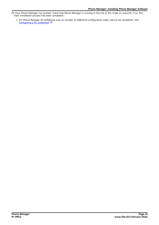26.Once Phone Manager has started, check that Phone Manager is running in the Lite or Pro mode as required. If so, the main installation process has been completed.

· For Phone Manager PC Softphone user an number of additional configuration steps need to be completed. See Configuring a PC Softphone 22 .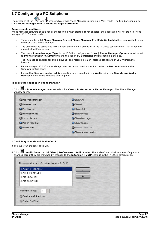## **1.7 Configuring a PC Softphone**

The presence of the  $\mathcal P$  and  $\mathbf Y$  icons indicate that Phone Manager is running in VoIP mode. The title bar should also state **Phone Manager iPro** or **Phone Manager SoftPhone**.

#### **Requirements and Notes**

Phone Manager software checks for all the following when started. If not enabled, the application will not start in Phone Manager PC Softphone mode.

- · There must be valid *Phone Manager Pro* and *Phone Manager Pro IP Audio Enabled* licenses available when the user starts Phone Manager.
- The user must be associated with an non-physical VoIP extension in the IP Office configuration. That is not with a physical VoIP extension.
- · The user's **Phone Manager Type** in the IP Office configuration (**User | Phone Manager Options**) must be set to **Phone Manager PC Softphone** and the option **PC Softphone mode** should be enabled.
- The PC must be enabled for audio playback and recording via an installed soundcard or USB microphone headset.
- · Phone Manager PC Softphone always uses the default device specified under the **Multimedia** tab in the Windows control panel.
- · Ensure that **Use only preferred devices** tick box is enabled in the **Audio** tab of the **Sounds and Audio Devices** option in the Windows control panel.

**To make the changes in Phone Manager:**

1.Click **> Phone Manager**. Alternatively, click **View > Preferences > Phone Manager**. The Phone Manager window opens



- 2.Check **Play Sounds** and **Enable VoIP**.
- 3.To save your changes, click **OK**.

4.Click | **Audio Codec** or click **View** | **Preferences** | **Audio Codec**. The Audio Codec window opens. Only make changes here if they are matched by changes to the **Extension | VoIP** settings in the IP Office configuration.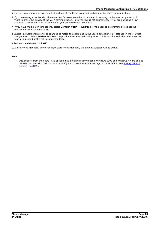- 5.Use the up and down arrows to select and adjust the list of preferred audio codec for VoIP communication.
- 6. If you are using a low bandwidth connection for example a dial Up Modem, increasing the Frames per packet to 2 might improve the quality of the VoIP communication. However, this is not guaranteed. If you are not using a low bandwidth connection, it is recommended you use the default value of 1.
- 7. If you have multiple IP connections, select **Confirm VoIP IP Address** for the user to be prompted to select the IP address for VoIP communication.
- 8.Enable FastStart should only be changed to match the setting as in the user's extension VoIP settings in the IP Office configuration. Select **Enable FastStart** to provide the caller with a ring tone. If it is not checked, the caller does not hear a ring tone but the call is connected faster.
- 9.To save the changes, click **OK**.
- 10.Close Phone Manager. When you next start Phone Manager, the options selected will be active.

**Note**

· QoS support from the users PC is optional but is highly recommended. Windows 2000 and Windows XP are able to provide the user with QoS that can be configure to match the QoS settings of the IP Office. See VoIP Quality of  $S$ ervice  $(QoS)$   $26$ <sup>A</sup>.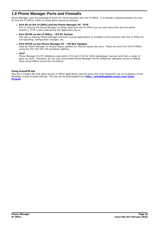## **1.8 Phone Manager Ports and Firewalls**

Phone Manager uses the following IP ports for communication with the IP Office. If a firewall is placed between the user PC and the IP Office, traffic on these ports should be allowed.

- · **Port 69 on the IP Office and the Phone Manager PC- TFTP** This is used by the Phone Manager to obtain data from the IP Office such as user name lists and the switch directory. TFTP is also used during the application log on.
- · **Port 50796 on the IP Office IPO PC Partner** This port is used by Phone Manager and Soft Console applications to establish communication with the IP Office for call signalling, configuration changes, etc.
- · **Port 50799 on the Phone Manager PC IPO BLF Updates** Used by Phone Manager to receive status updates for internal speed dial icons. These are sent from the IP Office using the 255.255.255.255 broadcast address.

· **VoIP**

Phone Manager Pro PC Softphone uses ports 1719 and 1720 for H323 Gatekeeper discover and then a range of ports for VoIP. Therefore, we can only recommend Phone Manager Pro PC Softphone operation across a firewall when using VPN to tunnel the connection.

**Using AvayaFW.bat**

This file is a batch file that adds various IP Office applications and the ports that they frequently use as exceptions to the Windows in-built firewall settings. This file can be downloaded from **http://marketingtools.avaya.com/tools/ firewall**.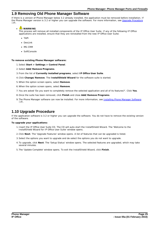## **1.9 Removing Old Phone Manager Software**

If there is a version of Phone Manager below 3.2 already installed, the application must be removed before installation. If the Phone Manager version is 3.2 or higher you can upgrade the software. For more information, see <u>Upgrade Procedure</u>  $25^{\circ}$ .

#### · **WARNING**

This process will remove all installed components of the IP Office User Suite. If any of the following IP Office applications are installed, ensure that they are reinstalled from the new IP Office User Suite:

- · TAPI
- · DevLink
- · MS-CRM
- · SoftConsole

**To remove existing Phone Manager software:**

- 1.Select **Start > Settings > Control Panel**.
- 2.Select **Add/Remove Programs**.
- 3.From the list of **Currently installed programs**, select **IP Office User Suite**.
- 4.Click **Change/Remove**. The **InstallShield Wizard** for the software suite is started.
- 5.When the option screen opens, select **Remove**.
- 6.When the option screen opens, select **Remove**.
- 7.You are asked 'Do you want to completely remove the selected application and all of its features?'. Click **Yes**.
- 8.Once the suite has been removed, click **Finish** and close **Add/Remove Programs**.
- 9. The Phone Manager software can now be installed. For more information, see Installing Phone Manager Software 16<sup> $\leftarrow$ </sup>.

## **1.10 Upgrade Procedure**

If the application software is 3.2 or higher you can upgrade the software. You do not have to remove the existing version of the software.

**To upgrade your applications:**

- 1. Insert the IP Office User Suite CD. The CD will auto-start the InstallShield Wizard. The 'Welcome to the InstallShield Wizard for IP Office User Suite' window opens.
- 2.Click **Next**. The 'Upgrade Features' window opens. A list of features that can be upgraded is listed.
- 3.Select the options you want to upgrade and de-select the options you do not want to upgrade.
- 4.To upgrade, click **Next**. The 'Setup Status' window opens. The selected features are upgraded, which may take several minutes.
- 5.The 'Update Complete' window opens. To exit the InstallShield Wizard, click **Finish**.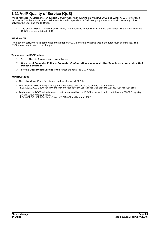## **1.11 VoIP Quality of Service (QoS)**

Phone Manager PC Softphone can support DiffServ QoS when running on Windows 2000 and Windows XP. However, it requires QoS to be enabled within Windows. It is still dependent of QoS being supported at all switch/routing points between the user and the IP Office.

The default DSCP (DiffServ Control Point) value used by Windows is 40 unless overridden. This differs from the IP Office system default of 46.

#### **Windows XP**

The network card/interface being used must support 802.1p and the Windows QoS Scheduler must be installed. The DSCP value might need to be changed.

**To change the DSCP value:**

- 
- 1. Select **Start > Run** and enter **gpedit.msc**. 2. Open **Local Computer Policy > Computer Configuration > Administrative Templates > Network > QoS Packet Scheduler**.
- 3. For the **Guaranteed Service Type**, enter the required DSCP value.

#### **Windows 2000**

- · The network card/interface being used must support 802.1p.
- · The following DWORD registry key must be added and set to *0* to enable DSCP marking. HKEY\_LOCAL\_MACHINE\System\CurrentControlSet\Services\Tcpip\Parameters\DisableUserTosSetting
- · To change the DSCP value to match that being used by the IP Office network, add the following DWORD registry key set to the required value.

HKEY\_CURRENT\_USER\Software\Avaya\IP400\PhoneManager\DSCP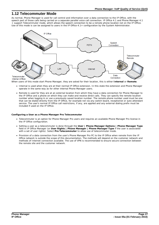## **1.12 Telecommuter Mode**

As normal, Phone Manager is used for call control and information over a data connection to the IP Office, with the speech part of those calls being carried on a separate parallel voice call connection. IP Office 4.1 and Phone Manager 4.1 + support Telecommuter mode, which allows the speech connection to be a remote phone location not on the IP Office. Use of this mode is can be assigned to users in the IP Office 4.1+ configuration by the System Administrator.



When users of this mode start Phone Manager, they are asked for their location, this is either *Internal* or *Remote*.

- · Internal is used when they are at their normal IP Office extension. In this state the extension and Phone Manager operate in the same way as for other internal Phone Manager users.
- · Remote is used for they are at an external location from which they have a data connection for Phone Manager to the IP Office and a phone on which they can make and receive direct calls. They can specify the remote location number when logging in or use a previously saved location number. The remote phone number used must be one that can be dialed directly from the IP Office, for example not via any switch board, receptionist or auto attendant service. The user's normal IP Office call restrictions, if any, are applied and any external dialing prefix must be included if used on the IP Office.

**Configuring a User as a Phone Manager Pro Telecommuter**

- · Telecommuter is an option for Phone Manager Pro users and requires an available Phone Manager Pro license in the IP Office configuration.
- · Setting a user as a telecommuter is done through the **User | Phone Manager Options | Phone Manager Type** field in IP Office Manager (or **User Rights | Phone Manager | Phone Manager Type** if the user is associated with a set of user rights). Select *Pro Telecommuter* to allow use of telecommuter mode.
- · Provision of a data connection from the user's Phone Manager Pro PC to the IP Office when remote from the IP Office network is outside the scope of this documentation. The methods will depend on the customer network and methods of Internet connection available. The use of VPN is recommended to ensure secure connection between the remote site and the customer network.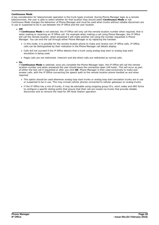#### **Continuous Mode**

A key consideration for telecommuter operation is the trunk types involved. During Phone Manager login as a remote telecommuter, the user is able to select whether for that location they should select **Continuous Mode** or not. Continuous Mode changes the behaviour of Phone Manager and must be used when trunks without reliable disconnect are in use or suspected to be in use between the IP Office and the user location.

· **Off**

If **Continuous Mode** is not selected, the IP Office will only call the remote location number when required, that is when making or receiving an IP Office call. For example when making a call using Phone Manager, the IP Office will call the remote location, when answered it will make another call using the number requested in Phone Manager. You can end the call through either Phone Manager or by replacing the handset.

- · In this mode, it is possible for the remote location phone to make and receive non-IP Office calls. IP Office calls can be distinguished by their indication in the Phone Manager call details display.
- · Calls will not succeed if the IP Office detects that a trunk using analog loop start or analog loop start emulation is being used.
- · Pages calls are not redirected. Intercom and dial direct calls are redirected as normal calls.

· **On**

If **Continuous Mode** is selected, once you complete the Phone Manager login, the IP Office will call the remote location number and when answered the user should leave the connection open (off-hook). This will occur as part of either the test call if requested or after you click **OK**. Phone Manager is then used exclusively to make and answer calls, with the IP Office connecting the speech path to the remote location phone handset as and when required.

- · This option should be used whenever analog loop start trunks or analog loop start emulation trunks are in use or suspected to be in use. This may include cellular phones connected to cellular gateways on analog trunks.
- · If the IP Office has a mix of trunks, it may be advisable using outgoing group ID's, short codes and ARS forms to configure a specific dialing prefix that ensure that their call are routed via trunks that provide reliable disconnect and so remove the need for Off Hook Station operation.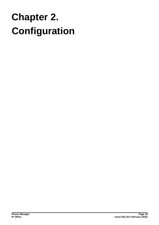# **Configuration Chapter 2.**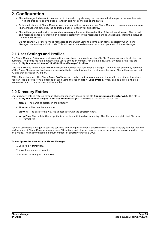## **2. Configuration**

- · Phone Manager indicates it is connected to the switch by showing the user name inside a pair of square brackets '[ ]'. If the title bar displays 'Phone Manager' it is not connected to the switch.
- · Only one instance of Phone Manager can be run at a time. When starting Phone Manager, if an existing instance of Phone Manager is detected, the additional Phone Manager will exit silently.
- · Phone Manager checks with the switch once every minute for the availability of the voicemail server. The record and message panes are enabled or disabled accordingly. If the messages pane is unavailable, check the status of the voicemail server.
- · Do not connect 2 or more Phone Managers to the switch using the same user name, especially when Phone Manager is operating in VoIP mode. This will lead to unpredictable or incorrect operation of Phone Manager.

## **2.1 User Settings and Profiles**

For Phone Manager 3.0 onwards, all user settings are stored in a single local profile file. The exception is local directory numbers. The profile file name matches the user's extension number, for example 212.xml. By default, the files are stored in **My Documents\Avaya\IP 400\PhoneManager\Profiles**.

This file is created when a user with that extension number first uses Phone Manager. The file is not deleted by removal of the Phone Manager application and a separate file is created for each extension number using Phone Manager on that PC and that particular PC log on.

Within Phone Manager, the **File** > **Save Profile** option can be used to save a copy of the profile to a different location. You can load a profile from a different location using the option **File** > **Load Profile**. When loading a profile, the file name must match the user's extension number.

## **2.2 Directory Entries**

User directory entries entered through Phone Manager are saved to the file **PhoneManagerDirectory.txt**. This file is stored in **My Document\Avaya\IP Office\PhoneManager**. The file is a CSV file in the format:

- · **Name** The name to display in the directory.
- · **Number** The telephone number.
- · **wavfile** The path to the wav file to associate with the directory entry.
- · **scriptfile** The path to the script file to associate with the directory entry. This file can be a plain text file or an RTF format file.

You can use Phone Manager to edit the contents and to import or export directory files. A large directory can degrade the performance of Phone Manager as excessive CLI lookups and other actions have to be performed whenever a call arrives or is made. The recommended maximum number of directory entries is 1000.

**To configure the directory in Phone Manager:**

- 1.Click **File** > **Directory**.
- 2.Make the changes as required.
- 3.To save the changes, click **Close**.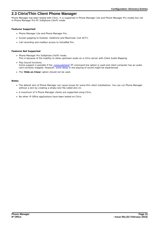## **2.3 Citrix/Thin Client Phone Manager**

Phone Manager has been tested with Citrix. It is supported in Phone Manager Lite and Phone Manager Pro modes but not in Phone Manager Pro PC Softphone (VoIP) mode.

**Features Supported**

- · Phone Manager Lite and Phone Manager Pro.
- · Screen popping to Outlook, Goldmine and Maximizer (not ACT!).
- · Call recording and mailbox access to VoiceMail Pro.

**Features Not Supported**

- · Phone Manager Pro Softphone (VoIP) mode. This is because of the inability to allow upstream audio on a Citrix server with Client Audio Mapping.
- · Play Sound functions. Some support is possible if the <u>-nosoundcheck</u> 38 command line option is used and client computer has an audio card correctly mapped. However, some delay in the playing of sound might be experienced.
- · The '**Hide on Close**' option should not be used.

#### **Notes**

- · The default skin of Phone Manager can cause issues for some thin client installations. You can run Phone Manager without a skin by creating a empty text file called skin.ini.
- · A maximum of 5 Phone Manager clients are supported using Citrix.
- · No other IP Office applications have been tested on Citrix.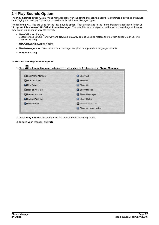## **2.4 Play Sounds Option**

The **Play Sounds** option within Phone Manager plays various sound through the user's PC multimedia setup to announce calls ringing and waiting. This option is available for all Phone Manager types.

The following wav files are used for the Play Sounds option. They are located in the Phone Manager application folder *C: \Program Files\Avaya\IP Office\Phone Manager*. The wav files can be replaced with custom recordings as long as they are in 16 bit mono wav file format.

- · **NewCall.wav:** Ringing. Separate files NewCall\_Eng.way and NewCall\_enu.way can be used to replace the file with either UK or US ring tone respectively.
- · **NewCallWaiting.wav:** Ringing.
- · **NewMessage.wav:** *"You have a new message"* supplied in appropriate language variants.
- · **Ding.wav:** Ding.

**To turn on the Play Sounds option:**

| O Pop Phone Manager  | Show All          |
|----------------------|-------------------|
| Hide on Close        | Show In           |
| Play Sounds          | Show Out          |
| Hide on no Calls     | Show Missed       |
| O Pop on Answer      | Show Messages     |
| Pop on Page Call     | Show Status       |
| <b>O</b> Enable VolP | Show Cost of Call |

2.Check **Play Sounds**. Incoming calls are alerted by an incoming sound.

3.To save your changes, click **OK**.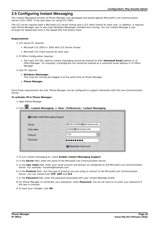## **2.5 Configuring Instant Messaging**

The Instant Messaging function of Phone Manager was developed and tested against Microsoft's Live Communication Server (LCS) 2003. It has also been run using LCS 2005.

The LCS server requires both a Microsoft LCS server license and a LCS client license for each user. In addition, it requires each Phone Manager user to also have Windows Messenger installed and running. You can Instant Message a user through the Speed Dial icons in the Speed Dial Call History Pane.

**Requirements**

1.LCS server PC requires:

- · Microsoft LCS 2003 or 2005 with LCS Server license.
- · Microsoft LCS Client license for each user.

2. IP Office Configuration requires:

· The users SIP URI used for instant messaging should be entered as their **Voicemail Email** address in IP Office Manager. For example *j.smith@acme.com* would be entered as a voicemail email address in IP Office Manager.

3.User PC requires:

- · **Windows Messenger**. This must be running and logged in at the same time as Phone Manager.
- · **Phone Manager**.

Once these requirements are met, Phone Manager can be configured to support interaction with the Live Communication Server.

**To activate IM in Phone Manager:**

- 1.Open Phone Manager.
- 2.Click | **Instant Messaging**. or **View** | **Preferences** | **Instant Messaging**.

| Server    | MLServer2003@test.avaya.com |
|-----------|-----------------------------|
| User name | remote@test.avaya.com       |
| Protocol  | TCP                         |
| Password  | <br>.                       |

3.To turn instant messaging on, check **Enable Instant Messaging Support**. 4. In the **Server** field, enter the name of the Microsoft Live Communication Server.

- 5. To turn instant messaging on, check Enable Instant Messaging Support.<br>4. In the Server field, enter the name of the Microsoft Live Communication Server.<br>5. In the user name field, enter your email account and domain as Server. For example; myname@example.com. 6. In the Server field, enter the name of the Microsoft Live Communication Server.<br>5. In the user name field, enter your email account and domain as configured on the Microsoft Live Communication<br>6. In the Protocol field,
- Server. You can choose from TCP, UDP and TLS.<br>T. In the Password field, enter the password associated with your Instant Message profile.
- 
- 8.For Phone Manager to remember your password, check **Password**. You do not have to re-enter your password if this box is checked.
- 9.To save your changes, click **OK**.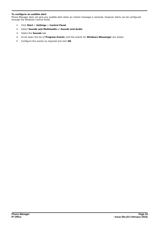#### **To configure an audible alert**

Phone Manager does not give any audible alert when an instant message is received. However alerts can be configured through the Windows Control Panel. 1. Click Start > Settings > Control Panel.<br>1. Click Start > Settings > Control Panel.<br>2. Select Sounds and Multimedia or Sounds and Audio.<br>3. Select the Sounds tab.

- 
- 
- 
- 4. Scroll down the list of **Program Events** until the events for **Windows Messenger** are shown.
- 5. Configure the events as required and click **OK**.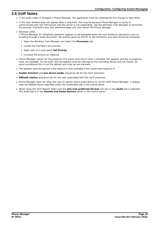## **2.6 VoIP Notes**

- · If the audio codec is changed in Phone Manager, the application must be restarted for the change to take effect.
- · If the main window does not appear after a long time, this may be because Phone Manager is trying to communicate with the VoIP server and the server is not responding. Use the Windows Task Manager to terminate the process 'iClaritySrv.exe' and 'phonemanager.exe' and restart the Phone Manager.
- · Windows 2000**.**

If Phone Manager PC Softphone operation appears to be degraded when the user performs operations such as scrolling through a large document, the priority given by the PC to the iClaritySrv.exe task should be increased.

- · Open the Windows Task Manager and select the **Processes** tab.
- · Locate the *iClaritySrc.exe* process.
- · Right-click on it and select **Set Priority**.
- · Increase the priority as required.
- · Phone Manager checks for the presence of a sound card and if none is installed, the speaker and the microphone icons are disabled. To use VoIP, the microphone must be selected as the recording device and not muted. On some soundcards this is not the default and must be set manually.
- · The speaker and microphone mute feature is only available if the sound card supports it.
- · **Enable faststart** and **Use direct media** should be set for the VoIP extension.
- · **Offhook station** should be set for the user associated with this VoIP extension.
- · Phone Manager does not allow the user to specify which audio device to use for VoIP Phone Manager. It always uses the default device specified under the multimedia tab in the control panel.
- · When using the VoIP feature make sure the **Use only preferred devices** tick box in the **Audio** tab is selected. The Audio tab is in the **Sounds and Audio Devices** option in the control panel.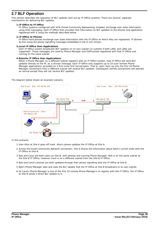## **2.7 BLF Operation**

This section describes the operation of BLF updates sent out by IP Office systems. There are several, separate mechanisms for delivering BLF updates.

- **1.IP Office to IP Office** IP Office systems configured with SCN (Small Community Networking) enabled, exchange user state information using SCN messaging. Each IP Office then provides that information as BLF updates to the phones and application registered with it using the methods described below.
- **2.IP Office to Phones** IP Office hard-phones exchange user state information with the IP Office on which they are registered. IP phones do this using the phone signalling messages embedded in the H.225 stream.
- **3.Local IP Office User Applications** Each IP Office system broadcasts BLF updates on its own subnet (or subnets if both LAN1 and LAN2 are supported). Those messages are used by Phone Manager and SoftConsole registered with that IP Office and running on the same subnet.
- **4.Remote IP Office User Applications**

When a Phone Manager on a different subnet registers with an IP Office system, that IP Office will send BLF updates directly to the PC as a Unicast message. Each IP Office only supports up to 10 such remote Phone Manager applications, provided on a first come first served basis. That is, upon start-up only the first 10 Phone Manager connections from a different subnet will receive BLF updates. Subsequent remote connections will operate as normal except they will not receive BLF updates.

#### The diagram below shows an example scenario.



In this scenario:

- 1.User Alice at Site A goes off-hook. Alice's phone updates the IP Office at Site A.
- 2.Across the Small Community Network connection, Site A shares the information about Alice's current state with the IP Office at Site B.
- 3.Bob and Carol are both users on Site B, with phones and running Phone Manager. Bob is on the same subnet as the Site B IP Office, however Carol is on a different subnet from the Site B IP Office.
- 4.Bob and Carol's phones are both updated through their phone signalling with the IP Office at Site B.
- 5.Bob's Phone Manager sees and uses the BLF update that the IP Office at Site B broadcasts to its own subnet.
- 6.As Carol's Phone Manager is one of the first 10 remote Phone Manager's to register with the IP Office, the IP Office at Site B sends a direct BLF update to it.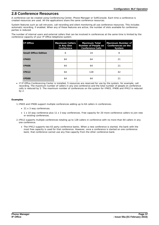## **2.8 Conference Resources**

A conference can be created using Conferencing Center, Phone Manager or SoftConsole. Each time a conference is created resources are used. All the applications share the same conference resources.

System features such as call intrusion, call recording and silent monitoring all use conference resources. This includes automatic recording, if enabled. When any of these features are active, the number of slots available for conference parties is reduced.

The number of internal users and external callers that can be involved in conferences at the same time is limited by the conference capacity of your IP Office telephone system.

| ll P Office                 | Maximum Callers<br>in Any One<br>Conference | Maximum Total<br>Number of People on<br>Conference Calls | Maximum Number of<br>Conferences on the<br>System |
|-----------------------------|---------------------------------------------|----------------------------------------------------------|---------------------------------------------------|
| <b>Small Office Edition</b> | 6                                           | 24                                                       | 8                                                 |
| IP403                       | 64                                          | 64                                                       | 21                                                |
| <b>IP406</b>                | 64                                          | 64                                                       | 21                                                |
| IP412                       | 64                                          | 128                                                      | 42                                                |
| <b>IP500</b>                | 64                                          | 64                                                       | 21                                                |

· If IP Office Conferencing Center is installed, 5 resources are reserved for use by the system, for example; call recording. The maximum number of callers in any one conference and the total number of people on conference calls is reduced by 5. The maximum number of conferences on the system for IP403, IP406 and IP412 is reduced by 2.

#### **Examples**

- 1. IP403 and IP406 support multiple conferences adding up to 64 callers in conferences.
	- · 21 x 3 way conferences.
	- · 1 x 10 way conference plus 11 x 3 way conferences. Free capacity for 20 more conference callers to join new or existing conferences.
- 2. IP412 supports multiple conferences totaling up to 128 callers in conference with no more than 64 callers in any one conference.
	- · The IP412 supports two 63 party conference banks. When a new conference is started, the bank with the most free capacity is used for that conference. However, once a conference is started on one conference bank, that conference cannot use any free capacity from the other conference bank.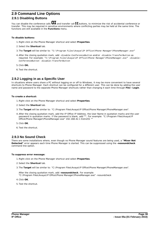## **2.9 Command Line Options 2.9.1 Disabling Buttons**

You can disable the conference calls  $\mathsf{CC}$  and transfer call  $\mathsf{CC}$  buttons, to minimize the risk of accidental conference or transfer. This may be required in sensitive environments where conflicting parties may be held at the same time. The functions are still available in the **Functions** menu.

**To disable buttons:**

- 1.Right-click on the Phone Manager shortcut and select **Properties**.
- 2.Select the **Shortcut** tab.
- 3.The **Target** will be similar to: "*C:\Program Files\Avaya\IP Office\Phone Manager\PhoneManager.exe"*
- 4.After the closing quotation mark, add -disable:ConferenceButton and/or -disable:TransferButton as required. For example: "*C:\Program Files\Avaya\IP Office\Phone Manager\PhoneManager.exe" -disable: ConferenceButton -disable:TransferButton*

5.Click **OK.**

6.Test the shortcut.

#### **2.9.2 Logging in as a Specific User**

In situations where users share a PC without logging on or off to Windows, it may be more convenient to have several shortcuts to Phone Manager. Each shortcut can be configured for a different user. This can be done by adding the user name and password to the separate Phone Manager shortcuts rather than changing it each time through **File**> **Login**.

**To create a shortcut:**

- 1.Right-click on the Phone Manager shortcut and select **Properties**.
- 2.Select the **Shortcut** tab.
- 3.The **Target** will be similar to: *"C:\Program Files\Avaya\IP Office\Phone Manager\PhoneManager.exe"*.
- 4.After the closing quotation mark, add the IP Office IP Address, the User Name in quotation marks and the user password in quotation marks. If the password is blank, add **""**. For example: *"C:\Program Files\Avaya\IP Office\Phone Manager\PhoneManager.exe" 192.168.42.1 Extn201 ""*
- 5.Click **OK**.
- 6.Test the shortcut.

#### **2.9.3 No Sound Check**

There are some installations where, even though no Phone Manager sound features are being used, a *"Mixer Not Detected"* error appears each time Phone Manager is started. This can be suppressed using the *-nosoundcheck* command line option.

**To suppress error message:**

- 1.Right-click on the Phone Manager shortcut and select **Properties**.
- 2.Select the **Shortcut** tab.
- 3.The **Target** will be similar to: *"C:\Program Files\Avaya\IP Office\Phone Manager\PhoneManager.exe"*.

After the closing quotation mark, add *-nosoundcheck*. For example: *"C:\Program Files\Avaya\IP Office\Phone Manager\PhoneManager.exe" -nosundcheck* 

4.Click **OK**.

5.Test the shortcut.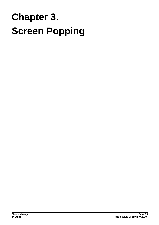# **Screen Popping Chapter 3.**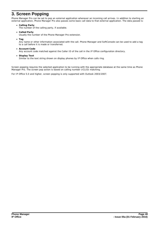## **3. Screen Popping**

Phone Manager Pro can be set to pop an external application whenever an incoming call arrives. In addition to starting an external application, Phone Manager Pro also passes some basic call data to that external application. The data passed is:

- · **Calling Party** The number of the calling party, if available.
- · **Called Party** Usually the number of the Phone Manager Pro extension.
- · **Tag**

Any name or other information associated with the call. Phone Manager and SoftConsole can be used to add a tag to a call before it is made or transferred.

- · **Account Code** Any account code matched against the Caller ID of the call in the IP Office configuration directory.
- · **Display Text** Similar to the text string shown on display phones by IP Office when calls ring.

Screen popping requires the selected application to be running with the appropriate database at the same time as Phone Manager Pro. The screen pop action is based on calling number (ICLID) matching.

For IP Office 5.0 and higher, screen popping is only supported with Outlook 2003/2007.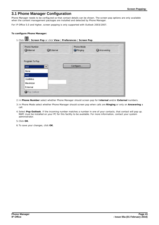## **3.1 Phone Manager Configuration**

Phone Manager needs to be configured so that contact details can be shown. The screen pop options are only available when the content management packages are installed and detected by Phone Manager.

For IP Office 5.0 and higher, screen popping is only supported with Outlook 2003/2007.

**To configure Phone Manager:**

 $\overline{a}$ 

| Phone Number<br><b>O</b> Internal | External | Phone Mode<br><b>Ringing</b> | <b>O</b> Answering |
|-----------------------------------|----------|------------------------------|--------------------|
|                                   |          |                              |                    |
| Program To Pop                    |          |                              |                    |
| ∦Acti                             | ▼        | Configure                    |                    |
| None                              |          |                              |                    |
| Act                               |          |                              |                    |
| GoldMine                          |          |                              |                    |
| Maximizer                         |          |                              |                    |
|                                   |          |                              |                    |

- 2. In **Phone Number** select whether Phone Manager should screen pop for **Internal** and/or **External** numbers.
- 3. In Phone Mode select whether Phone Manager should screen pop when calls are **Ringing** or only on **Answering** a call.
- 4.Select **Pop Outlook**. If the incoming number matches a number in one of your contacts, that contact will pop up. MAPI must be installed on your PC for this facility to be available. For more information, contact your system administrator.
- 5.Click **OK**.
- 6.To save your changes, click **OK**.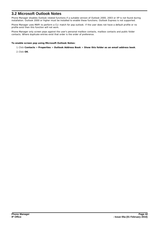## **3.2 Microsoft Outlook Notes**

Phone Manager disables Outlook related functions if a suitable version of Outlook 2000, 2003 or XP is not found during installation. Outlook 2000 or higher must be installed to enable these functions. Outlook Express is not supported.

Phone Manager uses MAPI to perform a CLI match for pop outlook. If the user does not have a default profile or no profile exist then this function will not work.

Phone Manager only screen pops against the user's personal mailbox contacts, mailbox contacts and public folder contacts. Where duplicate entries exist that order is the order of preference.

**To enable screen pop using Microsoft Outlook Notes:**

1.Click **Contacts** > **Properties** > **Outlook Address Book** > **Show this folder as an email address book**.

2.Click **OK**.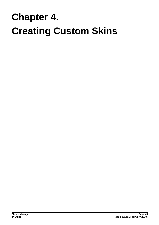# **Creating Custom Skins Chapter 4.**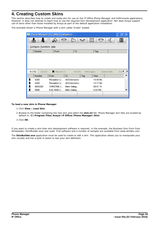## **4. Creating Custom Skins**

This section describes how to create and loada skin for use on the IP Office Phone Manager and SoftConsole applications. However, it does not attempt to teach how to use the required Skin Development application. Nor does Avaya support use of skins other than those installed by Avaya as part of the default application installation.

The example shown is Phone Manager with a skin called 'Gradic' loaded.

|                          | Phone Manager Pro [Mark Gallagher] |                            |             |                  |
|--------------------------|------------------------------------|----------------------------|-------------|------------------|
| 没に                       |                                    |                            |             | 眉                |
| Configure Eunctions Help |                                    |                            |             |                  |
| Number                   | From                               | To                         | Tag         |                  |
|                          |                                    |                            |             |                  |
|                          |                                    |                            |             |                  |
|                          |                                    |                            |             |                  |
|                          |                                    |                            |             |                  |
|                          |                                    |                            |             |                  |
| ln(10)<br>Out(5)         | <b>X</b> Missed (1)                | All(16)<br>Messages        | Speed Dials | Acc <sup>4</sup> |
| Number                   | From                               | To<br>Tag                  | <b>Time</b> |                  |
| ₹<br>4200                |                                    | Reception U All Extensions | 14:40 Mo    |                  |
| ₹<br>4200                | Reception U                        | All Extensions             | 13:17 Mo    |                  |
| ł<br>8004200             | CHRISTINE J                        | Mark Gallag                | 09:51 Th    |                  |
| ł<br>4686                | Extri 4686 s Mark Gallag           |                            | 4:03 PM     |                  |
|                          |                                    |                            |             |                  |

**To load a new skin in Phone Manager**

- 1.Click **View** | **Load Skin**.
- 2.Browse to the folder containing the new skin and select the *skin.ini* file. Phone Manager skin files are located by default in: *C:\Program Files\Avaya\IP Office\Phone Manager\Skin\*
- 3.Click **OK**.

If you want to create a skin then skin development software is required. In the example, the Business Skin Form from Almediadev (SkinBuilder.exe) was used. Trial software and a number of samples are available from www.almdev.com.

The **SkinBuilder.exe** application must be used to create or edit a skin. This application allows you to manipulate your skin visually and has a built-in tester to test your skin definition.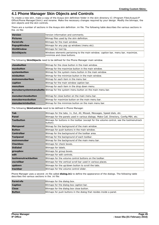## **4.1 Phone Manager Skin Objects and Controls**

To create a new skin, make a copy of the Avaya skin definition folder in the skin directory (*C:\Program Files\Avaya\IP Office\Phone Manager\Skin\)* and rename. Make the necessary changes required by your design. Modify the bitmaps, the skin objects and the skin controls.

There are a number of sections in the Avaya skin definition .ini file. The following table describes the various sections in the .ini file:

| Version            | Version information and comments.                                                                               |
|--------------------|-----------------------------------------------------------------------------------------------------------------|
| Pictures           | Bitmap files used by the skin definition.                                                                       |
| FormI nfo          | Bitmaps for the main window.                                                                                    |
| PopupWindow        | Bitmaps for any pop up windows (menu etc).                                                                      |
| <b>HintWindow</b>  | Bitmaps for tool tip.                                                                                           |
| <b>SkinObjects</b> | Windows elements pertaining to the main window; caption bar, menu bar, maximize,<br>minimize and close buttons. |

The following **SkinObjects** need to be defined for the Phone Manager main window.

| closebutton        | Bitmap for the close button in the main window.                                |
|--------------------|--------------------------------------------------------------------------------|
| maxbutton          | Bitmap for the maximize button in the main window.                             |
| systembutton       | Bitmap for the system menu button in the main window.                          |
| minbutton          | Bitmap for the minimize button in the main window.                             |
| mainmenubaritem    | Bitmap for each item in the menu bar.                                          |
| caption            | Bitmap for the main window caption bar.                                        |
| menuitem           | Bitmap for each item in the drop down menu.                                    |
| n                  | menubarsystemmenubutto Bitmap for the system menu button on the main menu bar. |
| menubarclosebutton | Bitmap for close button on the main menu bar.                                  |
| menubarmaxbutton   | Bitmap for maximize button on the main menu bar.                               |
| menubarminbutton   | Bitmap for the minimize button on the main menu bar.                           |

The following **SkinControls** need to be defined in Phone Manager.

| Tab                 | Bitmaps for the tabs; In, Out, All, Missed, Messages, Speed dials, etc.                              |
|---------------------|------------------------------------------------------------------------------------------------------|
| Panel               | Bitmaps for the panels used in various dialogs; Make Call, Directory, Config PBX, etc.               |
| Toolbutton          | Bitmaps for buttons in the toolbar (except for the volume control, see the toolmenutrack<br>button). |
| Mainpanel           | Bitmap for the background of the main window.                                                        |
| <b>Button</b>       | Bitmaps for push buttons in the main window.                                                         |
| Controlbar          | Bitmap for the background of the toolbar area.                                                       |
| Toolpanel           | Bitmap for the background of each toolbar.                                                           |
| mainmenubar         | Bitmap for the background of the main menu bar.                                                      |
| Checkbox            | Bitmaps for check boxes.                                                                             |
| Stdlabel            | Bitmaps for labels.                                                                                  |
| groupbox            | Bitmaps for group boxes.                                                                             |
| edit                | Bitmaps for edit controls.                                                                           |
| toolmenutrackbutton | Bitmaps for the volume control buttons on the toolbar.                                               |
| vscrollbar          | Bitmaps for the vertical scroll bar used in various places.                                          |
| updown              | Bitmaps for the up/down button to scroll the tabs.                                                   |
| trackbar            | Bitmaps for the volume control slider.                                                               |
|                     |                                                                                                      |

Phone Manager uses a second .ini file called **dialog.in1** to define the appearance of the dialogs. The following table describes the various sections in the .ini file:

| Form Info     | Bitmaps for the dialog box.                                         |
|---------------|---------------------------------------------------------------------|
| Caption       | Bitmaps for the dialog box caption bar.                             |
| Close         | Bitmaps for the dialog box close button.                            |
| <b>Button</b> | Bitmaps for push buttons in the dialog that resides inside a panel. |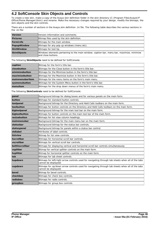## **4.2 SoftConsole Skin Objects and Controls**

To create a new skin, make a copy of the Avaya skin definition folder in the skin directory (*C:\Program Files\Avaya\IP Office\Phone Manager\Skin\)* and rename. Make the necessary changes required by your design, modify the bitmaps, the skin objects and the skin controls.

There are a number of sections in the Avaya skin definition .ini file. The following table describes the various sections in the .ini file:

| Version     | Version information and comments.                                                                                |
|-------------|------------------------------------------------------------------------------------------------------------------|
| Pictures    | Bitmap files used by the skin definition.                                                                        |
| Form Info   | Bitmaps for the main window.                                                                                     |
| PopupWindow | Bitmaps for any pop up windows (menu etc).                                                                       |
| HintWindow  | Bitmaps for tool tip.                                                                                            |
| SkinObjects | Windows elements pertaining to the main window; caption bar, menu bar, maximize, minimize<br>land close buttons. |

The following **SkinObjects** need to be defined for SoftConsole.

| caption         | Bitmap for the form's title bar.                            |
|-----------------|-------------------------------------------------------------|
| closebutton     | Bitmaps for the Close button in the form's title bar.       |
| minimizebutton  | Bitmaps for the Minimize button in the form's title bar.    |
| maximizebutton  | Bitmaps for the Maximize button in the form's title bar.    |
| mainmenubaritem | Bitmaps for the menu items on the form's main menu.         |
| sysmenubutton   | Bitmaps for the System Menu button in the form's title bar. |
| menuitem        | Bitmaps for the drop down menus of the form's main menu.    |

The following **SkinControls** need to be defined for SoftConsole.

| panel          | Background bitmap for dialog boxes and for various panels on the main form.                                               |
|----------------|---------------------------------------------------------------------------------------------------------------------------|
| button         | Bitmaps for standard button controls.                                                                                     |
| toolpanel      | Background bitmap for the Directory and Held Calls toolbars on the main form.                                             |
| toolbutton     | Bitmaps for button controls on the Directory and Held Calls toolbars on the main form.                                    |
| bigtoolpanel   | Background bitmap for the main tool bar on the main form.                                                                 |
| bigtoolbutton  | Bitmaps for button controls on the main tool bar of the main form.                                                        |
| resizebutton   | Bitmaps for list view column headings.                                                                                    |
| mainmenubar    | Background bitmap for the main menu bar on the main form.                                                                 |
| statusbar      | Background bitmap for the status bar controls.                                                                            |
| statuspanel    | Background bitmap for panels within a status bar control.                                                                 |
| stdlabel       | Attributes of label controls.                                                                                             |
| listview       | Bitmap for list view controls.                                                                                            |
| hscrollbar     | Bitmaps for horizontal scroll bar controls.                                                                               |
| vscrollbar     | Bitmaps for vertical scroll bar controls.                                                                                 |
| bothhscrollbar | Bitmaps for displaying vertical and horizontal scroll bar controls simultaneously.                                        |
| vsplitter      | Bitmap for vertical splitter controls on the main form.                                                                   |
| hsplitter      | Bitmap for horizontal splitter controls on the main form.                                                                 |
| <b>tab</b>     | Bitmaps for tab sheet controls.                                                                                           |
| hupdown        | Bitmaps for left/right arrow controls used for navigating through tab sheets when all of the tabs<br>cannot be displayed) |
| vupdown        | Bitmaps for up/down arrow controls used for navigating through tab sheets when all of the tabs<br>cannot be displayed)    |
| bevel          | Bitmap for bevel controls.                                                                                                |
| checkbox       | Bitmaps for check box controls.                                                                                           |
| radiobox       | Bitmaps for radio controls.                                                                                               |
| groupbox       | Bitmaps for group box controls.                                                                                           |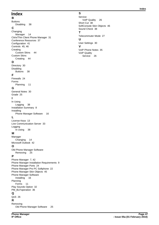#### **Index B**

Buttons Disabling 38 **C** Changing Manager 14 Citrix/Thin Client Phone Manager 31 Conference Resources 37 Configuration 41 Controls 45, 46 **Creating** Custom Skins 44 Custom Skins Creating 44 **D** Directory 30

Disabling Buttons 38 **F**

Firewalls 24 Forms

#### Planning 11

**G**

#### General Notes 30 Grade 25

## **I**

In Using Logging 38 Installation Summary 8 Installing Phone Manager Software 16

### **L**

License Keys 13 Live Communication Server 33 Logging In Using 38

#### **M**

Manager Changing 14 Microsoft Outlook 42 **O**

#### Old Phone Manager Software Removing 25

#### **P**

Phone Manager 7, 42 Phone Manager Installation Requirements 9 Phone Manager Ports 24 Phone Manager Pro PC Softphone 22 Phone Manager Skin Objects 45 Phone Manager Software Installing 16 Planning Forms 11 Play Sounds Option 32 PM\_BLFoperation 36 **Q** QoS 26 **R** Removing Old Phone Manager Software 25

### **S**

Service VoIP Quality 26 Short Cut 38 SoftConsole Skin Objects 46 Sound Check 38 **T** Telecommuter Mode 27 **U** User Settings 30 **V** VoIP Phone Notes 35 VoIP Quality

Service 26

**Index**

**Phone Manager Page 47 IP Office - Issue 05a (01 February 2010)**